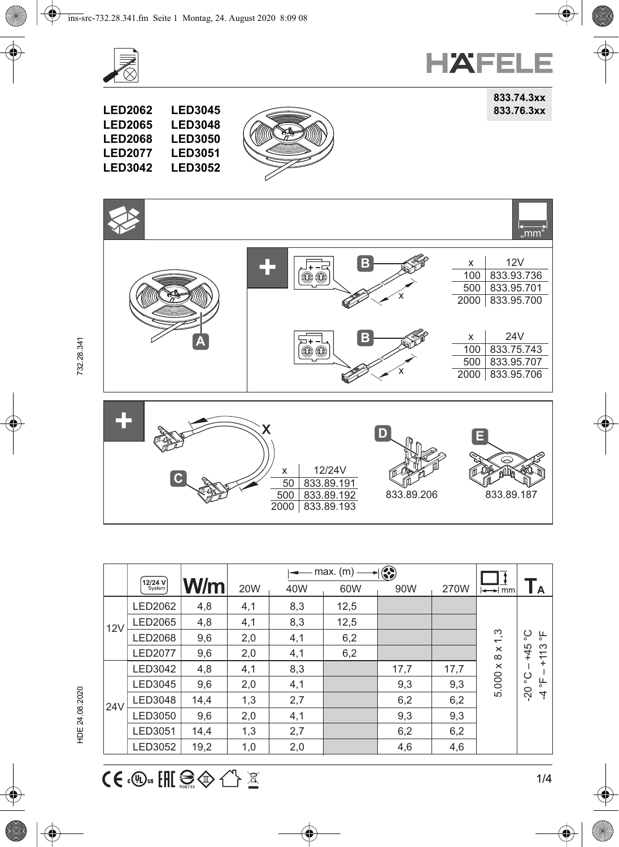



**833.74.3xx**

**LED2062 833.76.3xx LED2065 LED3045 LED3048 LED3050 LED3051**







| 12/24V<br>x                           |                          |
|---------------------------------------|--------------------------|
| C.<br>833.89.191<br>833.89.192<br>50C | 833.89.206<br>833.89.187 |
| 833.89.193<br>2000                    |                          |

|     |                          |      | €<br>max.(m) |     |      |      |      |                                |                                              |
|-----|--------------------------|------|--------------|-----|------|------|------|--------------------------------|----------------------------------------------|
|     | <b>12/24 V</b><br>System | W/m  | <b>20W</b>   | 40W | 60W  | 90W  | 270W | $\rightarrow$ mm               | ΙA                                           |
| 12V | LED2062                  | 4,8  | 4,1          | 8,3 | 12,5 |      |      | $x$ 1,3<br>$\infty$<br>5.000 x |                                              |
|     | LED2065                  | 4,8  | 4,1          | 8,3 | 12,5 |      |      |                                |                                              |
|     | <b>LED2068</b>           | 9,6  | 2,0          | 4,1 | 6,2  |      |      |                                | ပ<br>ட<br>$\circ$<br>$\circ$                 |
|     | <b>LED2077</b>           | 9,6  | 2,0          | 4,1 | 6,2  |      |      |                                | $+45$<br>S<br>Ξ                              |
| 24V | LED3042                  | 4,8  | 4,1          | 8,3 |      | 17,7 | 17,7 |                                | $\ddot{}$<br>ပ္င<br>븽<br>$\overline{5}$<br>4 |
|     | LED3045                  | 9,6  | 2,0          | 4,1 |      | 9,3  | 9,3  |                                |                                              |
|     | LED3048                  | 14,4 | 1,3          | 2,7 |      | 6,2  | 6,2  |                                |                                              |
|     | LED3050                  | 9,6  | 2,0          | 4,1 |      | 9,3  | 9,3  |                                |                                              |
|     | <b>LED3051</b>           | 14,4 | 1,3          | 2,7 |      | 6,2  | 6,2  |                                |                                              |
|     | LED3052                  | 19,2 | 1,0          | 2,0 |      | 4,6  | 4,6  |                                |                                              |

732.28.341

HDE 24.08.2020 732.28.341 HDE 24.08.2020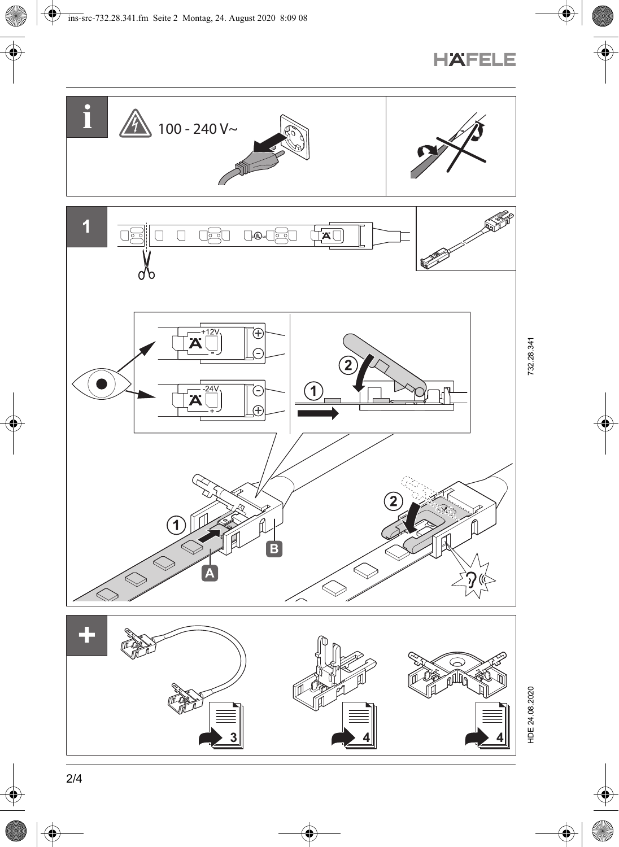

HDE 24.08.2020

**HAFELE**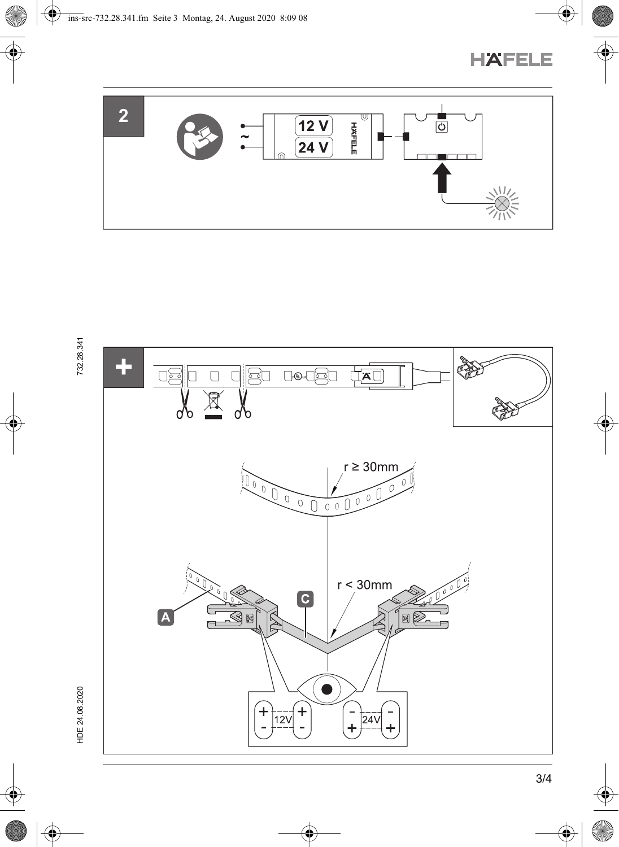





732.28.341

HDE 24.08.2020